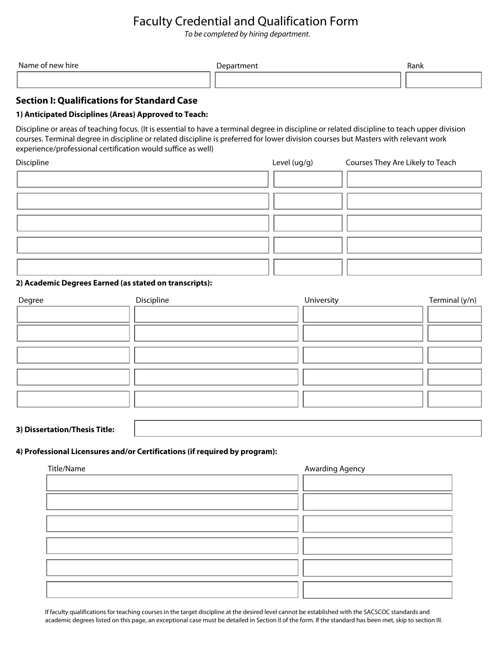# Faculty Credential and Qualification Form

*To be completed by hiring department.*

| Name \<br>hire<br>nev<br>$\sim$ $\sim$ $\sim$ $\sim$ $\sim$ $\sim$ | Department | Rank |
|--------------------------------------------------------------------|------------|------|
|                                                                    |            |      |

### **Section I: Qualifications for Standard Case**

#### **1) Anticipated Disciplines (Areas) Approved to Teach:**

Discipline or areas of teaching focus. (It is essential to have a terminal degree in discipline or related discipline to teach upper division courses. Terminal degree in discipline or related discipline is preferred for lower division courses but Masters with relevant work experience/professional certification would suffice as well)

| Discipline | Level (ug/g) | Courses They Are Likely to Teach |
|------------|--------------|----------------------------------|
|            |              |                                  |
|            |              |                                  |
|            |              |                                  |
|            |              |                                  |
|            |              |                                  |

#### **2) Academic Degrees Earned (as stated on transcripts):**

| Degree | Discipline | University | Terminal (y/n) |
|--------|------------|------------|----------------|
|        |            |            |                |
|        |            |            |                |
|        |            |            |                |
|        |            |            |                |
|        |            |            |                |
|        |            |            |                |

#### **3) Dissertation/Thesis Title:**

#### **4) Professional Licensures and/or Certifications (if required by program):**

| Title/Name | Awarding Agency |
|------------|-----------------|
|            |                 |
|            |                 |
|            |                 |
|            |                 |
|            |                 |
|            |                 |
|            |                 |
|            |                 |
|            |                 |
|            |                 |

If faculty qualifications for teaching courses in the target discipline at the desired level cannot be established with the SACSCOC standards and academic degrees listed on this page, an exceptional case must be detailed in Section II of the form. If the standard has been met, skip to section III.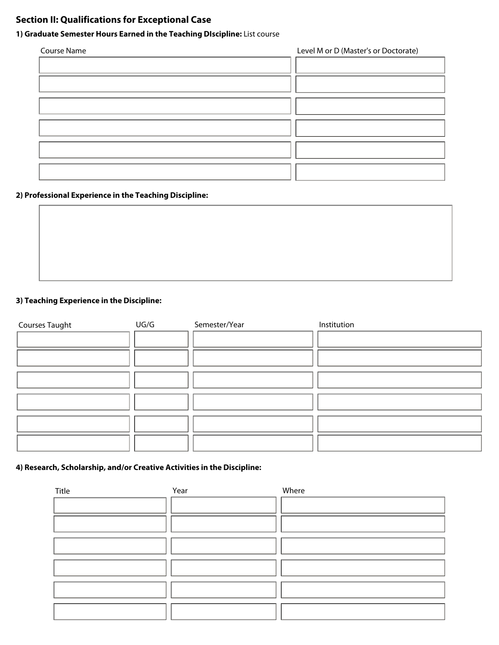# **Section II: Qualifications for Exceptional Case**

## **1) Graduate Semester Hours Earned in the Teaching DIscipline:** List course

| Course Name | Level M or D (Master's or Doctorate) |
|-------------|--------------------------------------|
|             |                                      |
|             |                                      |
|             |                                      |
|             |                                      |
|             |                                      |
|             |                                      |
|             |                                      |
|             |                                      |
|             |                                      |

### **2) Professional Experience in the Teaching Discipline:**

### **3) Teaching Experience in the Discipline:**

| <b>Courses Taught</b> | UG/G | Semester/Year | Institution |
|-----------------------|------|---------------|-------------|
|                       |      |               |             |
|                       |      |               |             |
|                       |      |               |             |
|                       |      |               |             |
|                       |      |               |             |
|                       |      |               |             |
|                       |      |               |             |
|                       |      |               |             |
|                       |      |               |             |
|                       |      |               |             |

### **4) Research, Scholarship, and/or Creative Activities in the Discipline:**

| Title | Year | Where |
|-------|------|-------|
|       |      |       |
|       |      |       |
|       |      |       |
|       |      |       |
|       |      |       |
|       |      |       |